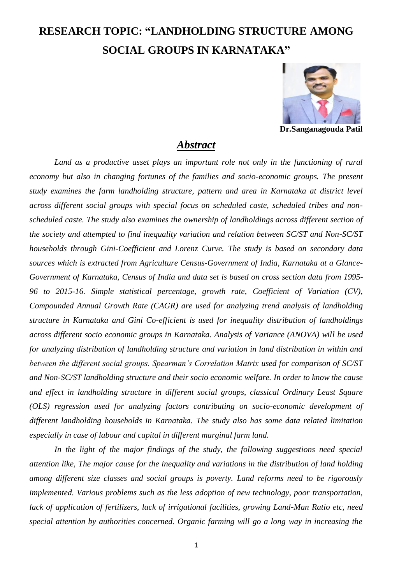## **RESEARCH TOPIC: "LANDHOLDING STRUCTURE AMONG SOCIAL GROUPS IN KARNATAKA"**



**Dr.Sanganagouda Patil**

## *Abstract*

Land as a productive asset plays an important role not only in the functioning of rural *economy but also in changing fortunes of the families and socio-economic groups. The present study examines the farm landholding structure, pattern and area in Karnataka at district level across different social groups with special focus on scheduled caste, scheduled tribes and nonscheduled caste. The study also examines the ownership of landholdings across different section of the society and attempted to find inequality variation and relation between SC/ST and Non-SC/ST households through Gini-Coefficient and Lorenz Curve. The study is based on secondary data sources which is extracted from Agriculture Census-Government of India, Karnataka at a Glance-Government of Karnataka, Census of India and data set is based on cross section data from 1995- 96 to 2015-16. Simple statistical percentage, growth rate, Coefficient of Variation (CV), Compounded Annual Growth Rate (CAGR) are used for analyzing trend analysis of landholding structure in Karnataka and Gini Co-efficient is used for inequality distribution of landholdings across different socio economic groups in Karnataka. Analysis of Variance (ANOVA) will be used for analyzing distribution of landholding structure and variation in land distribution in within and between the different social groups. Spearman's Correlation Matrix used for comparison of SC/ST and Non-SC/ST landholding structure and their socio economic welfare. In order to know the cause and effect in landholding structure in different social groups, classical Ordinary Least Square (OLS) regression used for analyzing factors contributing on socio-economic development of different landholding households in Karnataka. The study also has some data related limitation especially in case of labour and capital in different marginal farm land.*

In the light of the major findings of the study, the following suggestions need special *attention like, The major cause for the inequality and variations in the distribution of land holding among different size classes and social groups is poverty. Land reforms need to be rigorously implemented. Various problems such as the less adoption of new technology, poor transportation, lack of application of fertilizers, lack of irrigational facilities, growing Land-Man Ratio etc, need special attention by authorities concerned. Organic farming will go a long way in increasing the*